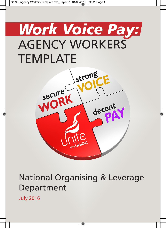# *Work Voice Pay:* AGENCY WORKERS TEMPLATE



# National Organising & Leverage Department

July 2016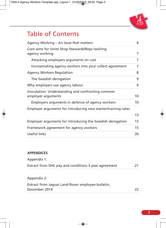

### Table of Contents

| Agency Working - An issue that matters                                  | 6              |
|-------------------------------------------------------------------------|----------------|
| Core aims for Unite Shop Stewards/Reps tackling<br>agency working       | $\overline{7}$ |
| Attacking employers arguments on cost                                   | 7              |
| Incorporating agency workers into your collect agreement                | 7              |
| <b>Agency Workers Regulation</b>                                        | 8              |
| The Swedish derogation                                                  | 9              |
| Why employers use agency labour                                         | 9              |
| Inoculation: Understanding and confronting common<br>employer arguments | 10             |
| Employers arguments in defence of agency workers                        | 10             |
| Employer arguments for introducing new starter/training rates           | 13             |
| Employer arguments for introducing the Swedish derogation               | 13             |
| Framework agreement for agency workers                                  | 15             |
| Useful links                                                            | 20             |

#### **APPENDICES**

| Appendix 1:                                          |    |
|------------------------------------------------------|----|
| Extract from DHL pay and conditions 3 year agreement | 21 |

| Appendix 2:                                       |    |
|---------------------------------------------------|----|
| Extract from Jaquar Land Rover employee bulletin, |    |
| December 2014                                     | 22 |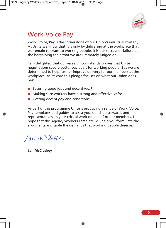

### Work Voice Pay

Work, Voice, Pay is the cornerstone of our Union's industrial strategy. At Unite we know that it is only by delivering at the workplace that we remain relevant to working people. It is our success or failure at the bargaining table that we are ultimately judged on.

I am delighted that our research consistently proves that Unite negotiations secure better pay deals for working people. But we are determined to help further improve delivery for our members at the workplace. At its core this pledge focuses on what our Union does best:

- Securing good jobs and decent *work*
- Making sure workers have a strong and effective *voice*
- **Getting decent** *pay* and conditions

As part of this programme Unite is producing a range of Work, Voice, Pay templates and guides to assist you, our shop stewards and representatives, in your critical work on behalf of our members. I hope that this Agency Workers Template will help you formulate the arguments and table the demands that working people deserve.

Len m Cluskey

**Len McCluskey**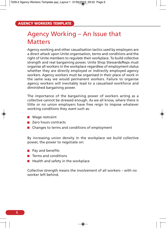### Agency Working – An Issue that **Matters**

Agency working and other casualisation tactics used by employers are a direct attack upon Unite organisation, terms and conditions and the right of Unite members to regulate their workplace. To build collective strength and real bargaining power, Unite Shop Stewards/Reps must organise all workers in the workplace regardless of employment status whether they are directly employed or indirectly employed agency workers. Agency workers must be organised in their place of work in the same way we would permanent workers. Failure to organise agency workers will inevitably lead to a casualised workforce and diminished bargaining power.

The importance of the bargaining power of workers acting as a collective cannot be stressed enough. As we all know, where there is little or no union employers have free reign to impose whatever working conditions they want such as:

- **Wage restraint**
- **Zero hours contracts**
- $\blacksquare$  Changes to terms and conditions of employment

By increasing union density in the workplace we build collective power, the power to negotiate on:

- $\blacksquare$  Pay and benefits
- **Terms and conditions**
- $\blacksquare$  Health and safety in the workplace

Collective strength means the involvement of all workers – with no worker left behind.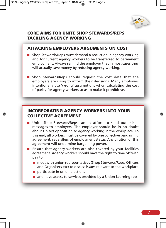

#### **CORE AIMS FOR UNITE SHOP STEWARDS/REPS TACKLING AGENCY WORKING**

#### **ATTACKING EMPLOYERS ARGUMENTS ON COST**

- **Shop Stewards/Reps must demand a reduction in agency working** and for current agency workers to be transferred to permanent employment. Always remind the employer that in most cases they will actually save money by reducing agency working.
- Shop Stewards/Reps should request the cost data that the employers are using to inform their decisions. Many employers intentionally use 'wrong' assumptions when calculating the cost of parity for agency workers so as to make it prohibitive.

#### **INCORPORATING AGENCY WORKERS INTO YOUR COLLECTIVE AGREEMENT**

- Unite Shop Stewards/Reps cannot afford to send out mixed messages to employers. The employer should be in no doubt about Unite's opposition to agency working in the workplace. To this end, all workers must be covered by one collective bargaining agreement, regardless of employment status. Any dilution of this agreement will undermine bargaining power.
- **E** Ensure that agency workers are also covered by your facilities agreement. Agency workers should have the right to time off with pay to:
	- meet with union representatives (Shop Stewards/Reps, Officers and Organisers etc) to discuss issues relevant to the workplace
	- $\bullet$  participate in union elections
	- and have access to services provided by a Union Learning rep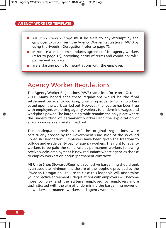- **All Shop Stewards/Reps must be alert to any attempt by the** employer to circumvent the Agency Worker Regulations (AWR) by using the Swedish Derogation (refer to page 7).
- Introduce a 'minimum standards agreement' for agency workers (refer to page 13), providing parity of terms and conditions with permanent workers.
- $\blacksquare$  are a starting point for negotiations with the employer.

### Agency Worker Regulations

The Agency Worker Regulations (AWR) came into force on 1 October 2011. Many hoped that these regulations would be the final settlement on agency working, promising equality for all workers based upon the work carried out. However, the reverse has been true with employers exploiting agency workers to undermine wages and workplace power. The bargaining table remains the only place where the undercutting of permanent workers and the exploitation of agency workers can be stamped out.

The inadequate provisions of the original regulations were particularly eroded by the Government's inclusion of the so-called 'Swedish Derogation'. Employers have been given the freedom to collude and evade parity pay for agency workers. The right for agency workers to be paid the same rate as permanent workers following twelve weeks employment is now redundant where agencies choose to employ workers on bogus 'permanent contracts'.

All Unite Shop Stewards/Reps with collective bargaining should seek as an absolute minimum the closure of the loophole provided by the 'Swedish Derogation'. Failure to close this loophole will undermine your collective agreements. Negotiations with employers will become more complex and the systems employed by employers more sophisticated with the aim of undermining the bargaining power of all workers, permanent workers and agency workers.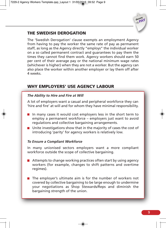

#### **THE SWEDISH DEROGATION**

The 'Swedish Derogation' clause exempts an employment Agency from having to pay the worker the same rate of pay as permanent staff, as long as the Agency directly "employs" the individual worker on a so called permanent contract and guarantees to pay them the times they cannot find them work. Agency workers should earn 50 per cent of their average pay or the national minimum wage rates (whichever is higher) when they are not a worker. But the agency can also place the worker within another employer or lay them off after 4 weeks.

#### **WHY EMPLOYERS' USE AGENCY LABOUR**

#### *The Ability to Hire and Fire at Will*

A lot of employers want a casual and peripheral workforce they can 'hire and fire' at will and for whom they have minimal responsibility.

- In many cases it would cost employers less in the short term to employ a permanent workforce – employers just want to avoid regulations and collective bargaining arrangements.
- $\blacksquare$  Unite investigations show that in the majority of cases the cost of introducing 'parity' for agency workers is relatively low.

#### *To Ensure a Compliant Workforce*

In many unionised sectors employers want a more compliant workforce outside the scope of collective bargaining.

- $\blacksquare$  Attempts to change working practices often start by using agency workers (for example, changes to shift patterns and overtime regimes).
- $\blacksquare$  The employer's ultimate aim is for the number of workers not covered by collective bargaining to be large enough to undermine your negotiations as Shop Stewards/Reps and diminish the bargaining strength of the union.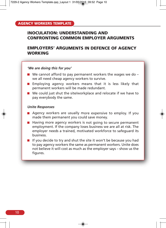#### **INOCULATION: UNDERSTANDING AND CONFRONTING COMMON EMPLOYER ARGUMENTS**

#### **EMPLOYERS' ARGUMENTS IN DEFENCE OF AGENCY WORKING**

#### *'We are doing this for you'*

- $\blacksquare$  We cannot afford to pay permanent workers the wages we do we all need cheap agency workers to survive.
- **Employing agency workers means that it is less likely that** permanent workers will be made redundant.
- We could just shut the site/workplace and relocate if we have to pay everybody the same.

#### *Unite Responses*

- **Agency workers are usually more expensive to employ.** If you made them permanent you could save money.
- $\blacksquare$  Having more agency workers is not going to secure permanent employment. If the company loses business we are all at risk. The employer needs <sup>a</sup> trained, motivated workforce to safeguard its business.
- If you decide to try and shut the site it won't be because you had to pay agency workers the same as permanent workers. Unite does not believe it will cost as much as the employer says – show us the figures.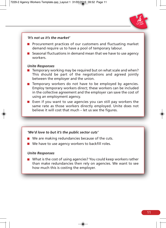

#### *'It's not us it's the market'*

- **Procurement practices of our customers and fluctuating market** demand require us to have a pool of temporary labour.
- Seasonal fluctuations in demand mean that we have to use agency workers.

#### *Unite Responses*

- $\blacksquare$  Temporary working may be required but on what scale and when? This should be part of the negotiations and agreed jointly between the employer and the union.
- $\blacksquare$  Temporary workers do not have to be employed by agencies. Employ temporary workers direct; these workers can be included in the collective agreement and the employer can save the cost of using an employment agency.
- Even if you want to use agencies you can still pay workers the same rate as those workers directly employed. Unite does not believe it will cost that much – let us see the figures.

#### *'We'd love to but it's the public sector cuts'*

- $\blacksquare$  We are making redundancies because of the cuts.
- We have to use agency workers to backfill roles.

#### *Unite Responses*

What is the cost of using agencies? You could keep workers rather than make redundancies then rely on agencies. We want to see how much this is costing the employer.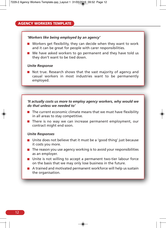#### *'Workers like being employed by an agency'*

- Workers get flexibility, they can decide when they want to work and it can be great for people with carer responsibilities.
- We have asked workers to go permanent and they have told us they don't want to be tied down.

#### *Unite Response*

 $\blacksquare$  Not true. Research shows that the vast majority of agency and casual workers in most industries want to be permanently employed.

#### *'It actually costs us more to employ agency workers, why would we do that unless we needed to'*

- $\blacksquare$  The current economic climate means that we must have flexibility in all areas to stay competitive.
- $\blacksquare$  There is no way we can increase permanent employment, our contract might end soon.

#### *Unite Responses*

- $\blacksquare$  Unite does not believe that it must be a 'good thing' just because it costs you more.
- $\blacksquare$  The reason you use agency working is to avoid your responsibilities as an employer.
- Unite is not willing to accept a permanent two-tier labour force on the basis that we may only lose business in the future.
- $\blacksquare$  A trained and motivated permanent workforce will help us sustain the organisation.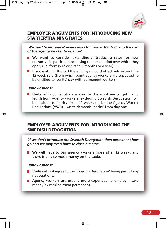

#### **EMPLOYER ARGUMENTS FOR INTRODUCING NEW STARTER/TRAINING RATES**

*'We need to introduce/review rates for new entrants due to the cost of the agency worker legislation'*

- We want to consider extending /introducing rates for new entrants – in particular increasing the time period over which they apply (i.e. from 8/12 weeks to 6 months or a year).
- $\blacksquare$  If successful in this bid the employer could effectively extend the 12 week rule (from which point agency workers are supposed to be entitled to 'parity' pay with permanent workers).

#### *Unite Response*

**D** Unite will not negotiate a way for the employer to get round legislation. Agency workers (excluding Swedish Derogation) wil be entitled to 'parity' from 12 weeks under the Agency Worker Regulations (AWR) – Unite demands 'parity' from day one.

#### **EMPLOYER ARGUMENTS FOR INTRODUCING THE SWEDISH DEROGATION**

*'If we don't introduce the Swedish Derogation then permanent jobs go and we may even have to close our site'.*

■ We will have to pay agency workers more after 12 weeks and there is only so much money on the table.

#### *Unite Response*

- Unite will not agree to the 'Swedish Derogation' being part of any negotiations.
- Agency workers are usually more expensive to employ  $-$  save money by making them permanent.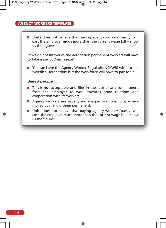■ Unite does not believe that paying agency workers 'parity' will cost the employer much more than the current wage bill – show us the figures.

'If we do not introduce the derogation permanent workers will have to take a pay cut/pay freeze'

■ You can have the Agency Worker Regulations (AWR) without the 'Swedish Derogation' but the workforce will have to pay for it.

#### *Unite Response*

- $\blacksquare$  This is not acceptable and flies in the face of any commitment from the employer to work towards good relations and cooperation with its workers.
- **Agency workers are usually more expensive to employ save** money by making them permanent.
- $\blacksquare$  Unite does not believe that paying agency workers 'parity' will cost the employer much more than the current wage bill – show us the figures.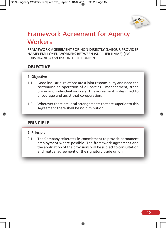

### Framework Agreement for Agency **Workers**

FRAMEWORK AGREEMENT FOR NON-DIRECTLY (LABOUR PROVIDER NAME) EMPLOYED WORKERS BETWEEN (SUPPLIER NAME) (INC. SUBSIDIARIES) and the UNITE THE UNION

#### **OBJECTIVE**

#### **1. Objective**

- 1.1 Good industrial relations are a joint responsibility and need the continuing co-operation of all parties – management, trade union and individual workers. This agreement is designed to encourage and assist that co-operation.
- 1.2 Wherever there are local arrangements that are superior to this Agreement there shall be no diminution.

#### **PRINCIPLE**

#### **2. Principle**

2.1 The Company reiterates its commitment to provide permanent employment where possible. The framework agreement and the application of the provisions will be subject to consultation and mutual agreement of the signatory trade union.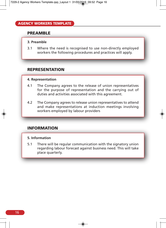#### **PREAMBLE**

#### **3. Preamble**

3.1 Where the need is recognised to use non-directly employed workers the following procedures and practices will apply.

#### **REPRESENTATION**

#### **4. Representation**

- 4.1 The Company agrees to the release of union representatives for the purpose of representation and the carrying out of duties and activities associated with this agreement.
- 4.2 The Company agrees to release union representatives to attend and make representations at induction meetings involving workers employed by labour providers

#### **INFORMATION**

#### **5. Information**

5.1 There will be regular communication with the signatory union regarding labour forecast against business need. This will take place quarterly.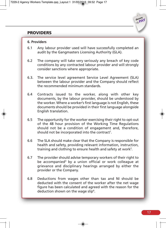#### **PROVIDERS**

#### **6. Providers**

- 6.1 Any labour provider used will have successfully completed an audit by the Gangmasters Licensing Authority (GLA).
- 6.2 The company will take very seriously any breach of key code conditions by any contracted labour provider and will strongly consider sanctions where appropriate.
- 6.3. The service level agreement Service Level Agreement (SLA) between the labour provider and the Company should reflect the recommended minimum standards.
- 6.4 Contracts issued to the worker, along with other key documents, by the labour provider, should be understood by the worker. Where a worker's first language is not English, these documents should be provided in their first language alongside English translation.
- 6.5 The opportunity for the worker exercising their right to opt-out of the 48 hour provision of the Working Time Regulations should not be a condition of engagement and, therefore, should not be incorporated into the contract<sup>1</sup>.
- 6.6 The SLA should make clear that the Company is responsible for health and safety, providing relevant information, instruction, training and clothing to ensure health and safety at work<sup>2</sup>.
- 6.7 The provider should advise temporary workers of their right to be accompanied<sup>3</sup> by a union official or work colleague at grievance and disciplinary hearings arranged by either the provider or the Company.
- 6.8 Deductions from wages other than tax and NI should be deducted with the consent of the worker after the net wage figure has been calculated and agreed with the reason for the deduction shown on the wage slip<sup>4</sup>.

**decent PAY**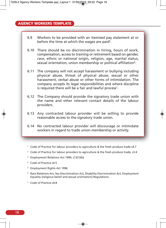- 6.9 Workers to be provided with an itemised pay statement at or before the time at which the wages are paid<sup>5</sup>.
- 6.10 There should be no discrimination in hiring, hours of work, compensation, access to training or retirement based on gender, race, ethnic or national origin, religion, age, marital status, sexual orientation, union membership or political affiliation<sup>6</sup>.
- 6.11 The company will not accept harassment or bullying including physical abuse, threat of physical abuse, sexual or other harassment, verbal abuse or other forms of intimidation. The company accepts its legal responsibilities and where discipline is required there will be a fair and lawful process<sup>7</sup>.
- 6.12 The Company should provide the signatory trade union with the name and other relevant contact details of the labour providers.
- 6.13 Any contracted labour provider will be willing to provide reasonable access to the signatory trade union.
- 6.14 No contracted labour provider will discourage or intimidate workers in regard to trade union membership or activity.
- <sup>1</sup> Code of Practice for labour providers to agriculture & the fresh produce trade s4.7
- <sup>2</sup> Code of Practice for labour providers to agriculture & the fresh produce trade, s3.4
- <sup>3</sup> Employment Relations Act 1999, s13(1)(b)
- <sup>4</sup> Code of Practice s4.5
- <sup>5</sup> Employment Rights Act 1996
- <sup>6</sup> Race Relations Act, Sex Discrimination Act, Disability Discrimination Act, Employment Equality (religious belief and sexual orientation) Regulations.
- <sup>7</sup> Code of Practice s4.8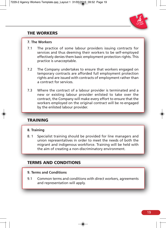

#### **THE WORKERS**

#### **7. The Workers**

- 7.1 The practice of some labour providers issuing contracts for services and thus deeming their workers to be self-employed effectively denies them basic employment protection rights. This practice is unacceptable.
- 7.2 The Company undertakes to ensure that workers engaged on temporary contracts are afforded full employment protection rights and are issued with contracts of employment rather than a contract for services.
- 7.3 Where the contract of a labour provider is terminated and a new or existing labour provider enlisted to take over the contract, the Company will make every effort to ensure that the workers employed on the original contract will be re-engaged by the enlisted labour provider.

#### **TRAINING**

#### **8. Training**

8. 1 Specialist training should be provided for line managers and union representatives in order to meet the needs of both the migrant and indigenous workforce. Training will be held with the aim of creating a non-discriminatory environment.

#### **TERMS AND CONDITIONS**

#### **9. Terms and Conditions**

9.1 Common terms and conditions with direct workers, agreements and representation will apply.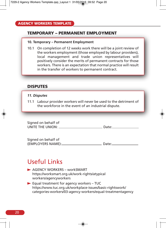#### **TEMPORARY – PERMANENT EMPLOYMENT**

#### **10. Temporary – Permanent Employment**

10.1 On completion of 12 weeks work there will be a joint review of the workers employment (those employed by labour providers), local management and trade union representatives will positively consider the merits of permanent contracts for those workers. There is an expectation that normal practice will result in the transfer of workers to permanent contract.

#### **DISPUTES**

#### *11. Disputes*

11.1 Labour provider workers will never be used to the detriment of the workforce in the event of an industrial dispute.

| Signed on behalf of |        |
|---------------------|--------|
| UNITE THE UNION:    | Date:_ |

| Signed on behalf of |       |
|---------------------|-------|
| (EMPLOYERS NAME):_  | Date: |

### Useful Links

- **AGENCY WORKERS workSMART** https://worksmart.org.uk/work-rights/atypical workers/agencyworkers
- Equal treatment for agency workers TUC https://www.tuc.org.uk/workplace-issues/basic-rightswork/ categories-workers/03-agency-workers/equal-treatmentagency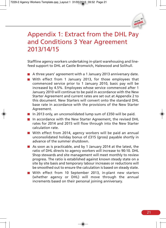

### Appendix 1: Extract from the DHL Pay and Conditions 3 Year Agreement 2013/14/15

Staffline agency workers undertaking in-plant warehousing and linefeed support to DHL at Castle Bromwich, Halewood and Solihull.

- A three years' agreement with a 1 January 2013 anniversary date.
- With effect from 1 January 2013, for those employees that commenced service prior to 1 January 2010, basic pay will be increased by 4.5%. Employees whose service commenced after 1 January 2010 will continue to be paid in accordance with the New Starter Agreement and current rates are set out at Appendix 2 to this document. New Starters will convert onto the standard DHL base rate in accordance with the provisions of the New Starter Agreement.
- In 2013 only, an unconsolidated lump sum of  $£350$  will be paid.
- In accordance with the New Starter Agreement, the revised DHL rates for 2014 and 2015 will flow through into the New Starter calculation rate.
- With effect from 2014, agency workers will be paid an annual unconsolidated holiday bonus of £315 (gross) payable shortly in advance of the summer shutdown.
- As soon as is practicable, and by 1 January 2014 at the latest, the ratio of DHL directs to agency workers will increase to 90:10. DHL Shop stewards and site management will meet monthly to review progress. The ratio is established against known steady state on a site by site basis and temporary labour increases or reductions will be smoothed out to ensure the calculation is based on steady state.
- With effect from 10 September 2013, in-plant new starters (whether agency or DHL) will move through the annual increments based on their personal joining anniversary.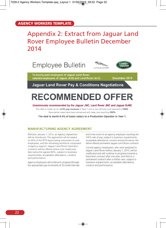### Appendix 2: Extract from Jaguar Land Rover Employee Bulletin December 2014







To hourly-paid employees of Jaguar Land Rover, salaried employees of Jaquar (A-D) and Land Rover (A-C)

December 2014

**Jaguar Land Rover Pay & Conditions Negotiations** 

# **RECOMMENDED OFFER**

#### Unanimously recommended by the Jaguar JNC, Land Rover JNC and Jaguar SJNC

The offer is made up of a 4.5% pay increase in Year 1 and a one-off lump sum payment of £825. New starter rates have been enhanced with rates now reaching 100%.

The deal is worth 8.4% of basic salary to a Production Operator in Year 1.

#### **MANUFACTURING AGENCY AGREEMENT**

Effective January 1, 2015, an Agency Agreement will be introduced. The agreement will be based on 90% of the RTO figure being composed of core employees, and the remaining workforce composed of agency support. Jaguar Land Rover fixed-term contracts will be offered where core headcount falls below the agreed 90%, subject to business requirements, acceptable attendance, conduct and performance.

Agency employees will continue to progress through the appropriate pay increments at 12-month intervals and in the event of an agency employee reaching the 100% rate of pay, subject to business requirements, acceptable attendance, conduct and performance, they will be offered permanent Jaquar Land Rover contracts.

Current agency employees, who were assigned to Jaguar Land Rover before January 1, 2015, will be unaffected and will continue to progress towards a fixed-term contract after one year, and then to a permanent contract after a further year, subject to business requirements, acceptable attendance, conduct and performance.